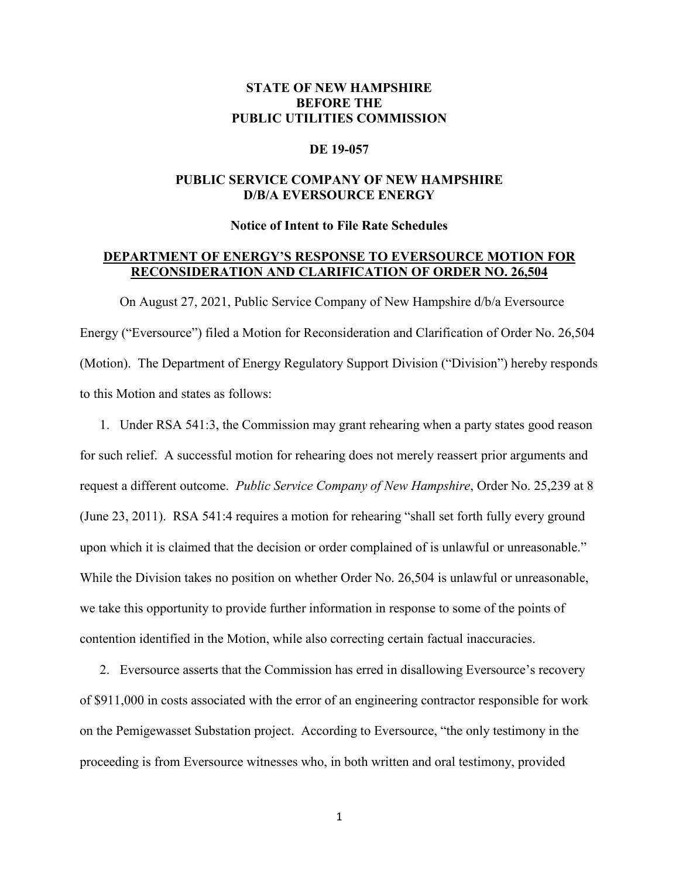# **STATE OF NEW HAMPSHIRE BEFORE THE PUBLIC UTILITIES COMMISSION**

#### **DE 19-057**

# **PUBLIC SERVICE COMPANY OF NEW HAMPSHIRE D/B/A EVERSOURCE ENERGY**

**Notice of Intent to File Rate Schedules**

# **DEPARTMENT OF ENERGY'S RESPONSE TO EVERSOURCE MOTION FOR RECONSIDERATION AND CLARIFICATION OF ORDER NO. 26,504**

On August 27, 2021, Public Service Company of New Hampshire d/b/a Eversource Energy ("Eversource") filed a Motion for Reconsideration and Clarification of Order No. 26,504 (Motion). The Department of Energy Regulatory Support Division ("Division") hereby responds to this Motion and states as follows:

1. Under RSA 541:3, the Commission may grant rehearing when a party states good reason for such relief. A successful motion for rehearing does not merely reassert prior arguments and request a different outcome. *Public Service Company of New Hampshire*, Order No. 25,239 at 8 (June 23, 2011). RSA 541:4 requires a motion for rehearing "shall set forth fully every ground upon which it is claimed that the decision or order complained of is unlawful or unreasonable." While the Division takes no position on whether Order No. 26,504 is unlawful or unreasonable, we take this opportunity to provide further information in response to some of the points of contention identified in the Motion, while also correcting certain factual inaccuracies.

2. Eversource asserts that the Commission has erred in disallowing Eversource's recovery of \$911,000 in costs associated with the error of an engineering contractor responsible for work on the Pemigewasset Substation project. According to Eversource, "the only testimony in the proceeding is from Eversource witnesses who, in both written and oral testimony, provided

1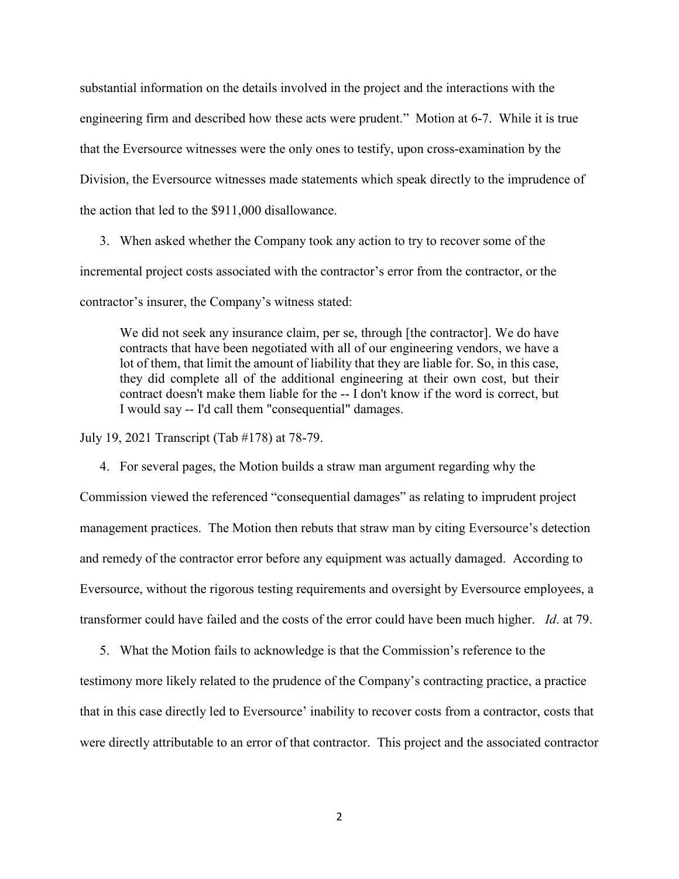substantial information on the details involved in the project and the interactions with the engineering firm and described how these acts were prudent." Motion at 6-7. While it is true that the Eversource witnesses were the only ones to testify, upon cross-examination by the Division, the Eversource witnesses made statements which speak directly to the imprudence of the action that led to the \$911,000 disallowance.

3. When asked whether the Company took any action to try to recover some of the incremental project costs associated with the contractor's error from the contractor, or the contractor's insurer, the Company's witness stated:

We did not seek any insurance claim, per se, through [the contractor]. We do have contracts that have been negotiated with all of our engineering vendors, we have a lot of them, that limit the amount of liability that they are liable for. So, in this case, they did complete all of the additional engineering at their own cost, but their contract doesn't make them liable for the -- I don't know if the word is correct, but I would say -- I'd call them "consequential" damages.

July 19, 2021 Transcript (Tab #178) at 78-79.

4. For several pages, the Motion builds a straw man argument regarding why the Commission viewed the referenced "consequential damages" as relating to imprudent project management practices. The Motion then rebuts that straw man by citing Eversource's detection and remedy of the contractor error before any equipment was actually damaged. According to Eversource, without the rigorous testing requirements and oversight by Eversource employees, a transformer could have failed and the costs of the error could have been much higher. *Id*. at 79.

5. What the Motion fails to acknowledge is that the Commission's reference to the testimony more likely related to the prudence of the Company's contracting practice, a practice that in this case directly led to Eversource' inability to recover costs from a contractor, costs that were directly attributable to an error of that contractor. This project and the associated contractor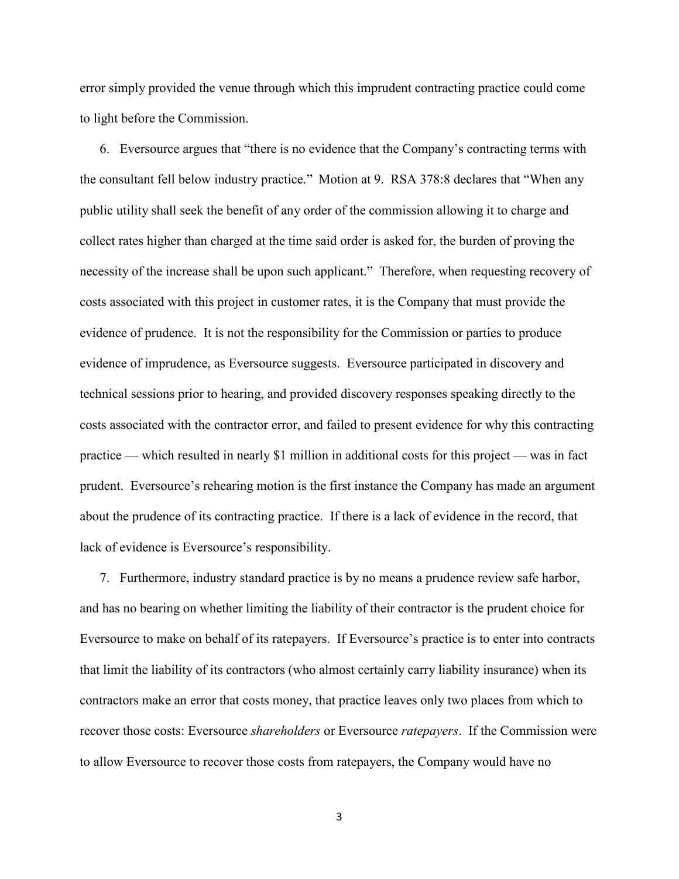error simply provided the venue through which this imprudent contracting practice could come to light before the Commission.

6. Eversource argues that "there is no evidence that the Company's contracting terms with the consultant fell below industry practice." Motion at 9. RSA 378:8 declares that "When any public utility shall seek the benefit of any order of the commission allowing it to charge and collect rates higher than charged at the time said order is asked for, the burden of proving the necessity of the increase shall be upon such applicant." Therefore, when requesting recovery of costs associated with this project in customer rates, it is the Company that must provide the evidence of prudence. It is not the responsibility for the Commission or parties to produce evidence of imprudence, as Eversource suggests. Eversource participated in discovery and technical sessions prior to hearing, and provided discovery responses speaking directly to the costs associated with the contractor error, and failed to present evidence for why this contracting practice — which resulted in nearly \$1 million in additional costs for this project — was in fact prudent. Eversource's rehearing motion is the first instance the Company has made an argument about the prudence of its contracting practice. If there is a lack of evidence in the record, that lack of evidence is Eversource's responsibility.

7. Furthermore, industry standard practice is by no means a prudence review safe harbor, and has no bearing on whether limiting the liability of their contractor is the prudent choice for Eversource to make on behalf of its ratepayers. If Eversource's practice is to enter into contracts that limit the liability of its contractors (who almost certainly carry liability insurance) when its contractors make an error that costs money, that practice leaves only two places from which to recover those costs: Eversource *shareholders* or Eversource *ratepayers*. If the Commission were to allow Eversource to recover those costs from ratepayers, the Company would have no

3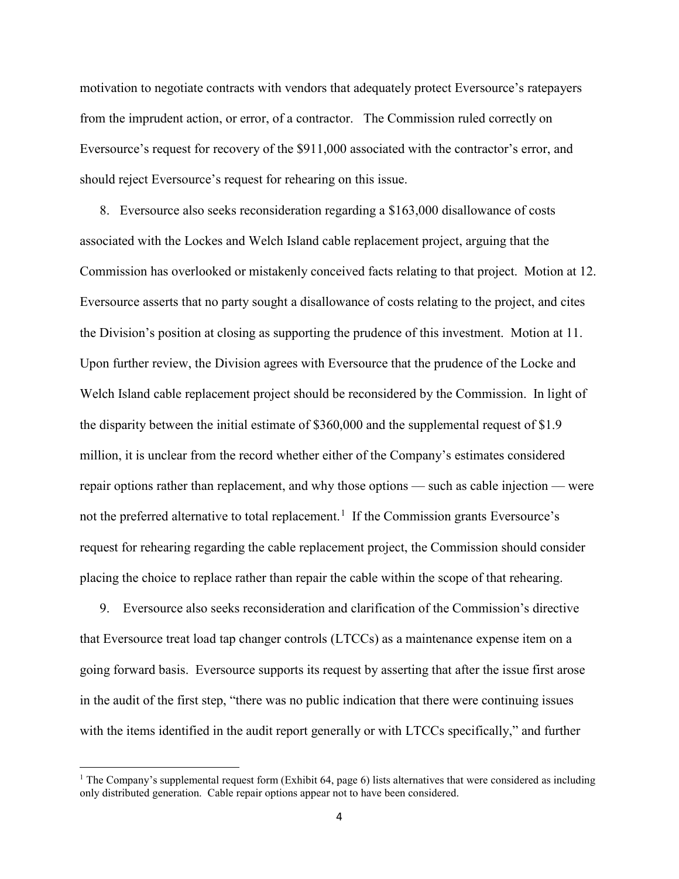motivation to negotiate contracts with vendors that adequately protect Eversource's ratepayers from the imprudent action, or error, of a contractor. The Commission ruled correctly on Eversource's request for recovery of the \$911,000 associated with the contractor's error, and should reject Eversource's request for rehearing on this issue.

8. Eversource also seeks reconsideration regarding a \$163,000 disallowance of costs associated with the Lockes and Welch Island cable replacement project, arguing that the Commission has overlooked or mistakenly conceived facts relating to that project. Motion at 12. Eversource asserts that no party sought a disallowance of costs relating to the project, and cites the Division's position at closing as supporting the prudence of this investment. Motion at 11. Upon further review, the Division agrees with Eversource that the prudence of the Locke and Welch Island cable replacement project should be reconsidered by the Commission. In light of the disparity between the initial estimate of \$360,000 and the supplemental request of \$1.9 million, it is unclear from the record whether either of the Company's estimates considered repair options rather than replacement, and why those options — such as cable injection — were not the preferred alternative to total replacement.<sup>[1](#page-3-0)</sup> If the Commission grants Eversource's request for rehearing regarding the cable replacement project, the Commission should consider placing the choice to replace rather than repair the cable within the scope of that rehearing.

9. Eversource also seeks reconsideration and clarification of the Commission's directive that Eversource treat load tap changer controls (LTCCs) as a maintenance expense item on a going forward basis. Eversource supports its request by asserting that after the issue first arose in the audit of the first step, "there was no public indication that there were continuing issues with the items identified in the audit report generally or with LTCCs specifically," and further

l

<span id="page-3-0"></span><sup>&</sup>lt;sup>1</sup> The Company's supplemental request form (Exhibit 64, page 6) lists alternatives that were considered as including only distributed generation. Cable repair options appear not to have been considered.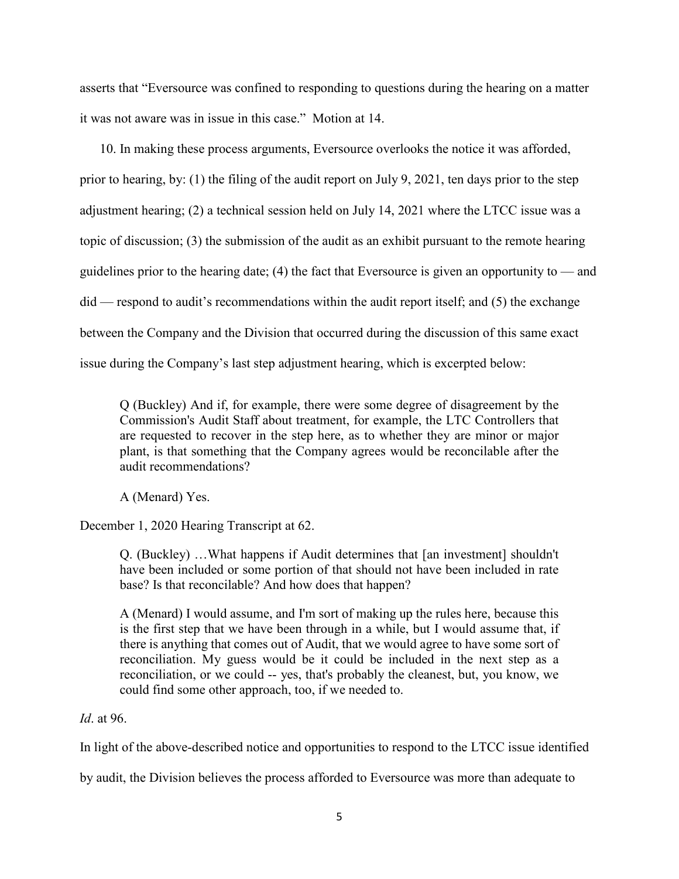asserts that "Eversource was confined to responding to questions during the hearing on a matter it was not aware was in issue in this case." Motion at 14.

10. In making these process arguments, Eversource overlooks the notice it was afforded, prior to hearing, by: (1) the filing of the audit report on July 9, 2021, ten days prior to the step adjustment hearing; (2) a technical session held on July 14, 2021 where the LTCC issue was a topic of discussion; (3) the submission of the audit as an exhibit pursuant to the remote hearing guidelines prior to the hearing date; (4) the fact that Eversource is given an opportunity to  $-$  and did — respond to audit's recommendations within the audit report itself; and (5) the exchange between the Company and the Division that occurred during the discussion of this same exact issue during the Company's last step adjustment hearing, which is excerpted below:

Q (Buckley) And if, for example, there were some degree of disagreement by the Commission's Audit Staff about treatment, for example, the LTC Controllers that are requested to recover in the step here, as to whether they are minor or major plant, is that something that the Company agrees would be reconcilable after the audit recommendations?

A (Menard) Yes.

December 1, 2020 Hearing Transcript at 62.

Q. (Buckley) …What happens if Audit determines that [an investment] shouldn't have been included or some portion of that should not have been included in rate base? Is that reconcilable? And how does that happen?

A (Menard) I would assume, and I'm sort of making up the rules here, because this is the first step that we have been through in a while, but I would assume that, if there is anything that comes out of Audit, that we would agree to have some sort of reconciliation. My guess would be it could be included in the next step as a reconciliation, or we could -- yes, that's probably the cleanest, but, you know, we could find some other approach, too, if we needed to.

#### *Id*. at 96.

In light of the above-described notice and opportunities to respond to the LTCC issue identified

by audit, the Division believes the process afforded to Eversource was more than adequate to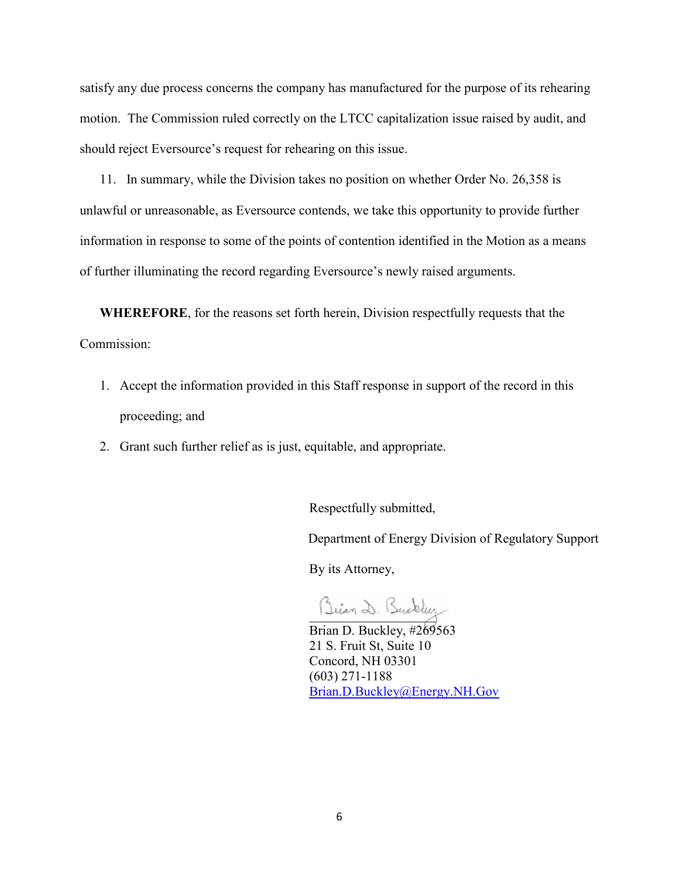satisfy any due process concerns the company has manufactured for the purpose of its rehearing motion. The Commission ruled correctly on the LTCC capitalization issue raised by audit, and should reject Eversource's request for rehearing on this issue.

11. In summary, while the Division takes no position on whether Order No. 26,358 is unlawful or unreasonable, as Eversource contends, we take this opportunity to provide further information in response to some of the points of contention identified in the Motion as a means of further illuminating the record regarding Eversource's newly raised arguments.

**WHEREFORE**, for the reasons set forth herein, Division respectfully requests that the Commission:

- 1. Accept the information provided in this Staff response in support of the record in this proceeding; and
- 2. Grant such further relief as is just, equitable, and appropriate.

Respectfully submitted,

Department of Energy Division of Regulatory Support

By its Attorney,

Brian D. Buckley

Brian D. Buckley, #269563 21 S. Fruit St, Suite 10 Concord, NH 03301 (603) 271-1188 [Brian.D.Buckley@Energy.NH.Gov](mailto:Brian.D.Buckley@Energy.NH.Gov)